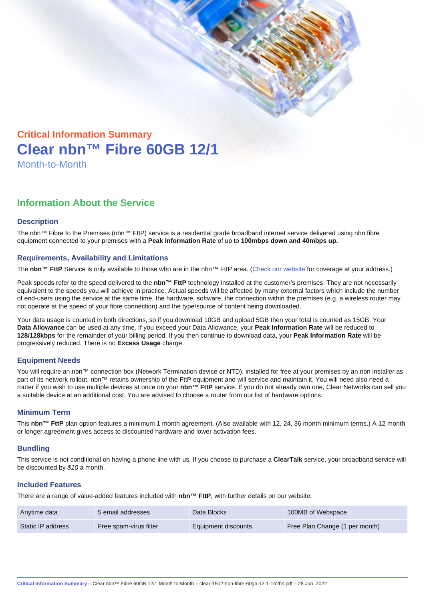# Critical Information Summary Clear nbn™ Fibre 60GB 12/1 Month-to-Month

## Information About the Service

#### **Description**

The nbn™ Fibre to the Premises (nbn™ FttP) service is a residential grade broadband internet service delivered using nbn fibre equipment connected to your premises with a Peak Information Rate of up to 100mbps down and 40mbps up.

#### Requirements, Availability and Limitations

The nbn™ FttP Service is only available to those who are in the nbn™ FttP area. ([Check our website](https://www.clear.com.au/residential/nbn-fixed/) for coverage at your address.)

Peak speeds refer to the speed delivered to the nbn™ FttP technology installed at the customer's premises. They are not necessarily equivalent to the speeds you will achieve in practice. Actual speeds will be affected by many external factors which include the number of end-users using the service at the same time, the hardware, software, the connection within the premises (e.g. a wireless router may not operate at the speed of your fibre connection) and the type/source of content being downloaded.

Your data usage is counted in both directions, so if you download 10GB and upload 5GB then your total is counted as 15GB. Your Data Allowance can be used at any time. If you exceed your Data Allowance, your Peak Information Rate will be reduced to 128/128kbps for the remainder of your billing period. If you then continue to download data, your Peak Information Rate will be progressively reduced. There is no Excess Usage charge.

#### Equipment Needs

You will require an nbn™ connection box (Network Termination device or NTD), installed for free at your premises by an nbn installer as part of its network rollout. nbn™ retains ownership of the FttP equipment and will service and maintain it. You will need also need a router if you wish to use multiple devices at once on your nbn™ FttP service. If you do not already own one, Clear Networks can sell you a suitable device at an additional cost. You are advised to choose a router from our list of hardware options.

#### Minimum Term

This nbn™ FttP plan option features a minimum 1 month agreement. (Also available with 12, 24, 36 month minimum terms.) A 12 month or longer agreement gives access to discounted hardware and lower activation fees.

#### **Bundling**

This service is not conditional on having a phone line with us. If you choose to purchase a ClearTalk service, your broadband service will be discounted by \$10 a month.

#### Included Features

There are a range of value-added features included with nbn™ FttP , with further details on our website;

| Anytime data      | 5 email addresses      | Data Blocks         | 100MB of Webspace              |
|-------------------|------------------------|---------------------|--------------------------------|
| Static IP address | Free spam-virus filter | Equipment discounts | Free Plan Change (1 per month) |